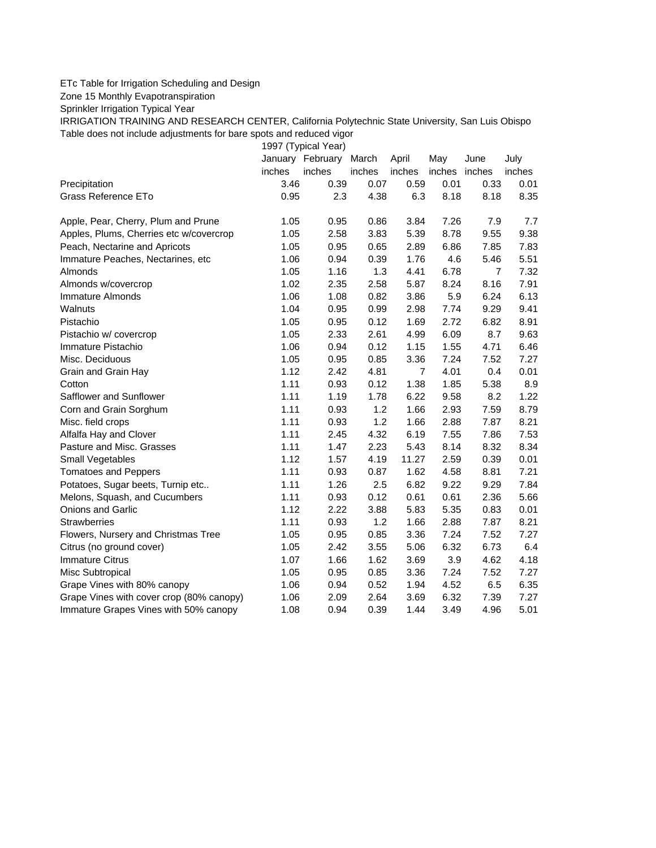## ETc Table for Irrigation Scheduling and Design

Zone 15 Monthly Evapotranspiration

Sprinkler Irrigation Typical Year

IRRIGATION TRAINING AND RESEARCH CENTER, California Polytechnic State University, San Luis Obispo Table does not include adjustments for bare spots and reduced vigor

1997 (Typical Year)

|                                          |        | January February March |        | April          | May           | June           | July   |
|------------------------------------------|--------|------------------------|--------|----------------|---------------|----------------|--------|
|                                          | inches | inches                 | inches | inches         | inches inches |                | inches |
| Precipitation                            | 3.46   | 0.39                   | 0.07   | 0.59           | 0.01          | 0.33           | 0.01   |
| Grass Reference ETo                      | 0.95   | 2.3                    | 4.38   | 6.3            | 8.18          | 8.18           | 8.35   |
| Apple, Pear, Cherry, Plum and Prune      | 1.05   | 0.95                   | 0.86   | 3.84           | 7.26          | 7.9            | 7.7    |
| Apples, Plums, Cherries etc w/covercrop  | 1.05   | 2.58                   | 3.83   | 5.39           | 8.78          | 9.55           | 9.38   |
| Peach, Nectarine and Apricots            | 1.05   | 0.95                   | 0.65   | 2.89           | 6.86          | 7.85           | 7.83   |
| Immature Peaches, Nectarines, etc        | 1.06   | 0.94                   | 0.39   | 1.76           | 4.6           | 5.46           | 5.51   |
| Almonds                                  | 1.05   | 1.16                   | 1.3    | 4.41           | 6.78          | $\overline{7}$ | 7.32   |
| Almonds w/covercrop                      | 1.02   | 2.35                   | 2.58   | 5.87           | 8.24          | 8.16           | 7.91   |
| Immature Almonds                         | 1.06   | 1.08                   | 0.82   | 3.86           | 5.9           | 6.24           | 6.13   |
| Walnuts                                  | 1.04   | 0.95                   | 0.99   | 2.98           | 7.74          | 9.29           | 9.41   |
| Pistachio                                | 1.05   | 0.95                   | 0.12   | 1.69           | 2.72          | 6.82           | 8.91   |
| Pistachio w/ covercrop                   | 1.05   | 2.33                   | 2.61   | 4.99           | 6.09          | 8.7            | 9.63   |
| Immature Pistachio                       | 1.06   | 0.94                   | 0.12   | 1.15           | 1.55          | 4.71           | 6.46   |
| Misc. Deciduous                          | 1.05   | 0.95                   | 0.85   | 3.36           | 7.24          | 7.52           | 7.27   |
| Grain and Grain Hay                      | 1.12   | 2.42                   | 4.81   | $\overline{7}$ | 4.01          | 0.4            | 0.01   |
| Cotton                                   | 1.11   | 0.93                   | 0.12   | 1.38           | 1.85          | 5.38           | 8.9    |
| Safflower and Sunflower                  | 1.11   | 1.19                   | 1.78   | 6.22           | 9.58          | 8.2            | 1.22   |
| Corn and Grain Sorghum                   | 1.11   | 0.93                   | 1.2    | 1.66           | 2.93          | 7.59           | 8.79   |
| Misc. field crops                        | 1.11   | 0.93                   | 1.2    | 1.66           | 2.88          | 7.87           | 8.21   |
| Alfalfa Hay and Clover                   | 1.11   | 2.45                   | 4.32   | 6.19           | 7.55          | 7.86           | 7.53   |
| Pasture and Misc. Grasses                | 1.11   | 1.47                   | 2.23   | 5.43           | 8.14          | 8.32           | 8.34   |
| Small Vegetables                         | 1.12   | 1.57                   | 4.19   | 11.27          | 2.59          | 0.39           | 0.01   |
| <b>Tomatoes and Peppers</b>              | 1.11   | 0.93                   | 0.87   | 1.62           | 4.58          | 8.81           | 7.21   |
| Potatoes, Sugar beets, Turnip etc        | 1.11   | 1.26                   | 2.5    | 6.82           | 9.22          | 9.29           | 7.84   |
| Melons, Squash, and Cucumbers            | 1.11   | 0.93                   | 0.12   | 0.61           | 0.61          | 2.36           | 5.66   |
| <b>Onions and Garlic</b>                 | 1.12   | 2.22                   | 3.88   | 5.83           | 5.35          | 0.83           | 0.01   |
| <b>Strawberries</b>                      | 1.11   | 0.93                   | 1.2    | 1.66           | 2.88          | 7.87           | 8.21   |
| Flowers, Nursery and Christmas Tree      | 1.05   | 0.95                   | 0.85   | 3.36           | 7.24          | 7.52           | 7.27   |
| Citrus (no ground cover)                 | 1.05   | 2.42                   | 3.55   | 5.06           | 6.32          | 6.73           | 6.4    |
| <b>Immature Citrus</b>                   | 1.07   | 1.66                   | 1.62   | 3.69           | 3.9           | 4.62           | 4.18   |
| Misc Subtropical                         | 1.05   | 0.95                   | 0.85   | 3.36           | 7.24          | 7.52           | 7.27   |
| Grape Vines with 80% canopy              | 1.06   | 0.94                   | 0.52   | 1.94           | 4.52          | 6.5            | 6.35   |
| Grape Vines with cover crop (80% canopy) | 1.06   | 2.09                   | 2.64   | 3.69           | 6.32          | 7.39           | 7.27   |
| Immature Grapes Vines with 50% canopy    | 1.08   | 0.94                   | 0.39   | 1.44           | 3.49          | 4.96           | 5.01   |